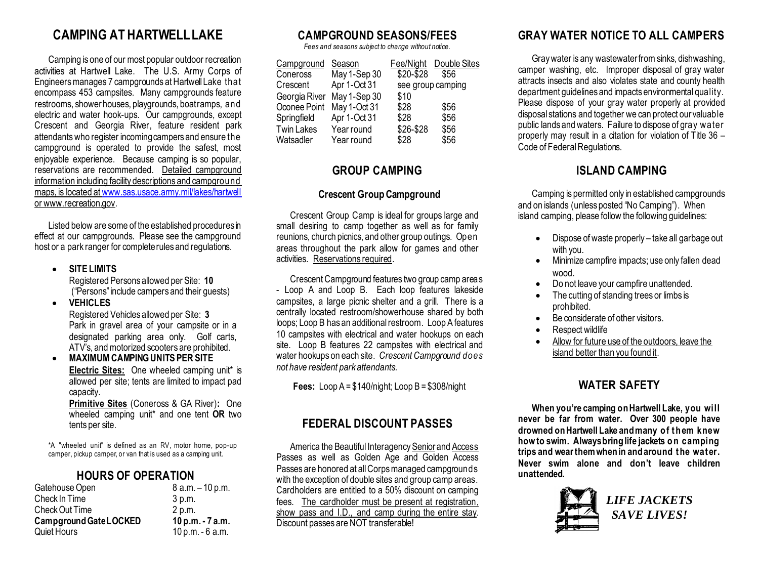## **CAMPING AT HARTWELL LAKE**

Camping is one of our most popular outdoor recreation activities at Hartwell Lake. The U.S. Army Corps of Engineers manages 7 campgrounds at Hartwell Lake that encompass 453 campsites. Many campgrounds feature restrooms, shower houses, playgrounds, boat ramps, and electric and water hook-ups. Our campgrounds, except Crescent and Georgia River, feature resident park attendantswho register incoming campers and ensure the campground is operated to provide the safest, most enjoyable experience. Because camping is so popular, reservations are recommended. Detailed campground information including facility descriptions and campground maps, is located at [www.sas.usace.army.mil/lakes/hartwell](http://www.sas.usace.army.mil/lakes/hartwell) or www.recreation.gov.

Listed below are some of the established procedures in effect at our campgrounds. Please see the campground host or a park ranger for complete rules and regulations.

- **SITE LIMITS** Registered Persons allowed per Site: **10** ("Persons"include campers and their guests) • **VEHICLES**
	- Registered Vehicles allowed per Site: **3** Park in gravel area of your campsite or in a designated parking area only. Golf carts, ATV's, and motorized scooters are prohibited.
- **MAXIMUM CAMPING UNITS PER SITE Electric Sites:** One wheeled camping unit\* is allowed per site; tents are limited to impact pad capacity.

**Primitive Sites** (Coneross & GA River)**:** One wheeled camping unit\* and one tent **OR** two tents per site.

\*A "wheeled unit" is defined as an RV, motor home, pop-up camper, pickup camper, or van that is used as a camping unit.

#### **HOURS OF OPERATION**

| Gatehouse Open         | 8 a.m. - 10 p.m.   |  |
|------------------------|--------------------|--|
| Check In Time          | 3 p.m.             |  |
| Check Out Time         | 2 p.m.             |  |
| Campground Gate LOCKED | $10 p.m. - 7 a.m.$ |  |
| <b>Quiet Hours</b>     | $10 p.m. - 6 a.m.$ |  |

#### **CAMPGROUND SEASONS/FEES**

*Fees and seasons subject to change without notice.*

| Campground        | Season       | Fee/Night | Double Sites      |
|-------------------|--------------|-----------|-------------------|
| Coneross          | May 1-Sep 30 | \$20-\$28 | \$56              |
| Crescent          | Apr 1-Oct 31 |           | see group camping |
| Georgia River     | May 1-Sep 30 | \$10      |                   |
| Oconee Point      | May 1-Oct 31 | \$28      | \$56              |
| Springfield       | Apr 1-Oct 31 | \$28      | \$56              |
| <b>Twin Lakes</b> | Year round   | \$26-\$28 | \$56              |
| Watsadler         | Year round   | \$28      | \$56              |

#### **GROUP CAMPING**

#### **Crescent Group Campground**

Crescent Group Camp is ideal for groups large and small desiring to camp together as well as for family reunions, church picnics, and other group outings. Open areas throughout the park allow for games and other activities. Reservations required.

Crescent Campground features two group camp areas - Loop A and Loop B. Each loop features lakeside campsites, a large picnic shelter and a grill. There is a centrally located restroom/showerhouse shared by both loops; Loop B has an additional restroom. Loop A features 10 campsites with electrical and water hookups on each site. Loop B features 22 campsites with electrical and water hookups on each site. *Crescent Campground does not have resident park attendants.*

**Fees:** Loop A = \$140/night; Loop B = \$308/night

#### **FEDERAL DISCOUNT PASSES**

America the Beautiful Interagency Senior and Access Passes as well as Golden Age and Golden Access Passes are honored at all Corps managed campgrounds with the exception of double sites and group camp areas. Cardholders are entitled to a 50% discount on camping fees. The cardholder must be present at registration. show pass and I.D., and camp during the entire stay. Discount passes are NOT transferable!

### **GRAY WATER NOTICE TO ALL CAMPERS**

Gray water is any wastewater from sinks, dishwashing, camper washing, etc. Improper disposal of gray water attracts insects and also violates state and county health department guidelines and impacts environmental quality. Please dispose of your gray water properly at provided disposal stations and together we can protect our valuable public lands and waters. Failure to dispose of gray water properly may result in a citation for violation of Title 36 – Code of Federal Regulations.

#### **ISLAND CAMPING**

Camping is permitted only in established campgrounds and on islands (unless posted "No Camping"). When island camping, please follow the following guidelines:

- Dispose of waste properly take all garbage out with you.
- Minimize campfire impacts; use only fallen dead wood.
- Do not leave your campfire unattended.
- The cutting of standing trees or limbs is prohibited.
- Be considerate of other visitors
- Respect wildlife
- Allow for future use of the outdoors, leave the island better than you found it.

#### **WATER SAFETY**

**When you're camping on Hartwell Lake, you will never be far from water. Over 300 people have drowned on Hartwell Lake and many o f them knew how to swim. Always bring life jackets o n camping trips and wear themwhen in and around the water. Never swim alone and don't leave children unattended.**